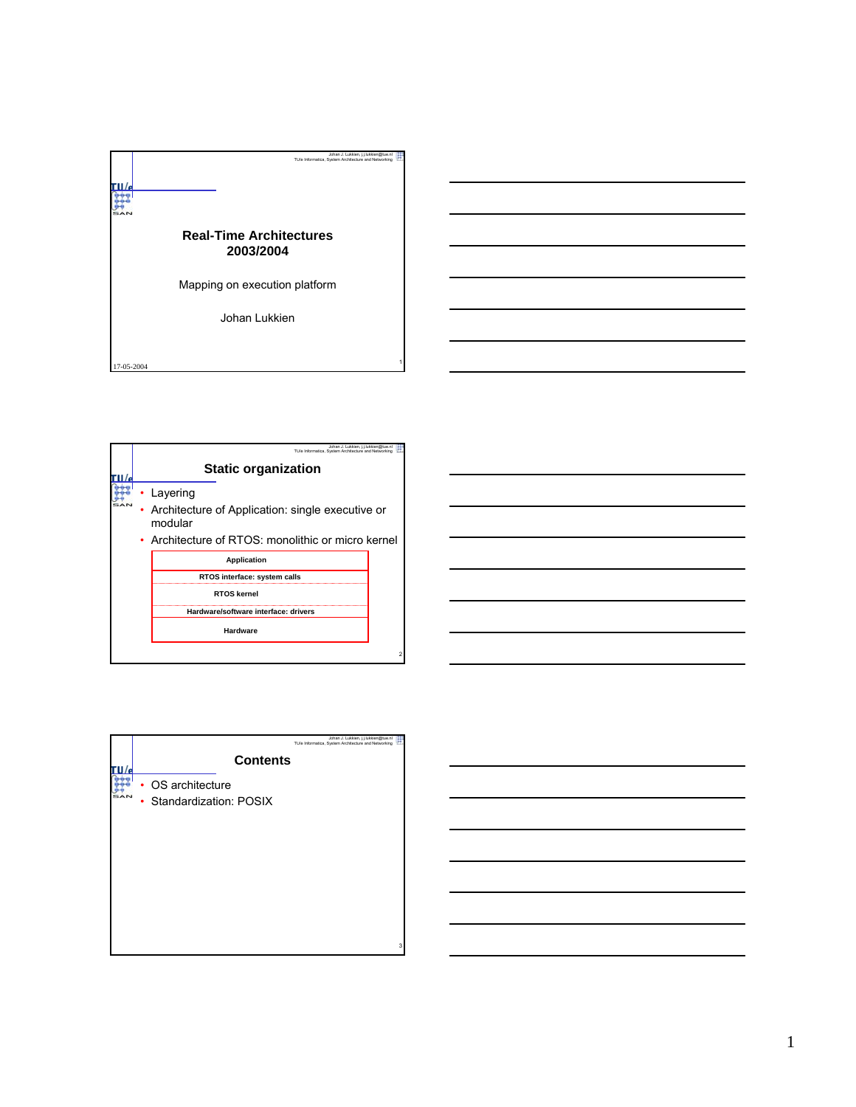

| Johan J. Lukkien, j.j.lukkien@tue.nl<br>TU/e Informatica. System Architecture and Networking                                  |   |
|-------------------------------------------------------------------------------------------------------------------------------|---|
| <b>Static organization</b>                                                                                                    |   |
| Layering<br>Architecture of Application: single executive or<br>modular<br>• Architecture of RTOS: monolithic or micro kernel |   |
| <b>Application</b>                                                                                                            |   |
| RTOS interface: system calls                                                                                                  |   |
| <b>RTOS kernel</b>                                                                                                            |   |
| Hardware/software interface: drivers                                                                                          |   |
| Hardware                                                                                                                      |   |
|                                                                                                                               | 2 |

|   |                        |                 | Johan J. Lukkien, j.j.lukkien@tue.nl<br>TU/e Informatica, System Architecture and Networking |   |
|---|------------------------|-----------------|----------------------------------------------------------------------------------------------|---|
|   |                        | <b>Contents</b> |                                                                                              |   |
|   | OS architecture        |                 |                                                                                              |   |
| ٠ | Standardization: POSIX |                 |                                                                                              |   |
|   |                        |                 |                                                                                              |   |
|   |                        |                 |                                                                                              |   |
|   |                        |                 |                                                                                              |   |
|   |                        |                 |                                                                                              |   |
|   |                        |                 |                                                                                              |   |
|   |                        |                 |                                                                                              |   |
|   |                        |                 |                                                                                              |   |
|   |                        |                 |                                                                                              |   |
|   |                        |                 |                                                                                              | 3 |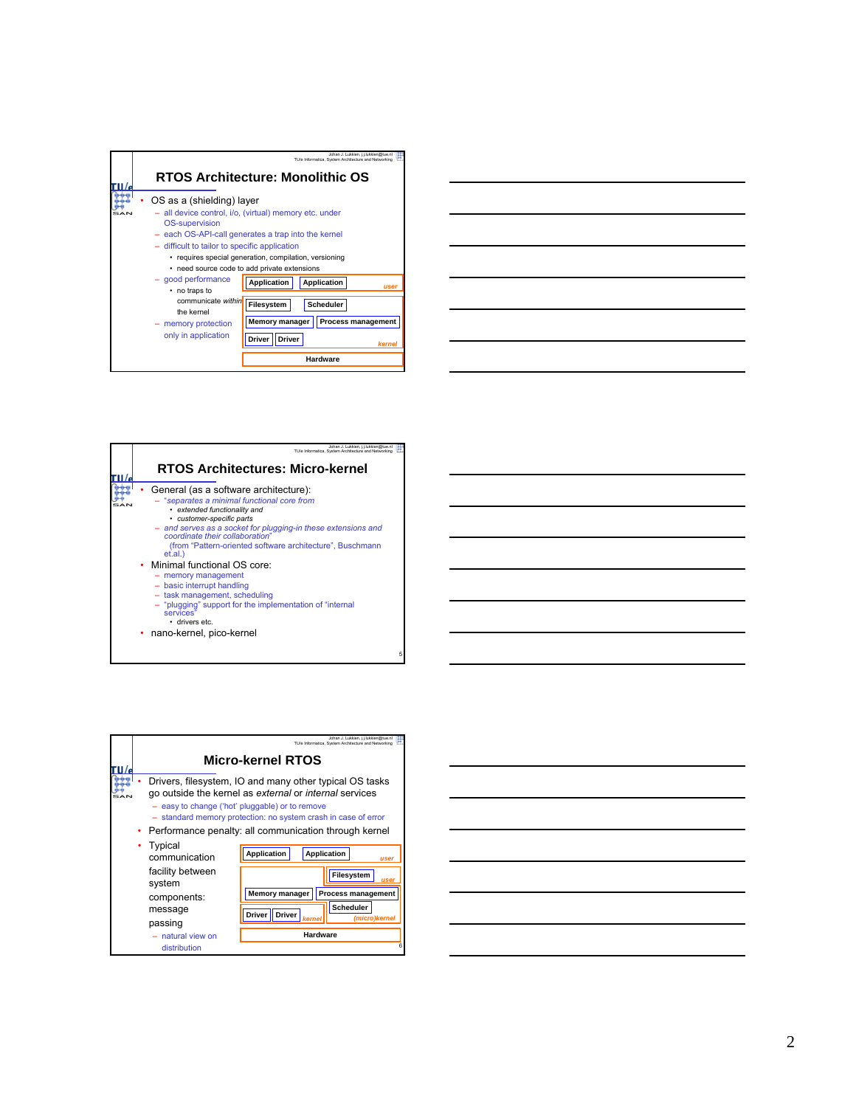| Johan J. Lukkien, j.j.lukkien@tue.nl<br>TU/e Informatica. System Architecture and Networking<br><b>RTOS Architecture: Monolithic OS</b>                                                                                                                                                                                        |
|--------------------------------------------------------------------------------------------------------------------------------------------------------------------------------------------------------------------------------------------------------------------------------------------------------------------------------|
| OS as a (shielding) layer<br>- all device control, i/o, (virtual) memory etc. under<br><b>OS-supervision</b><br>- each OS-API-call generates a trap into the kernel<br>- difficult to tailor to specific application<br>• requires special generation, compilation, versioning<br>• need source code to add private extensions |
| - good performance<br>Application<br><b>Application</b><br><b>USer</b><br>• no traps to<br>communicate within<br>Filesystem<br><b>Scheduler</b><br>the kernel<br><b>Process management</b><br><b>Memory manager</b><br>memory protection<br>only in application<br><b>Driver</b><br><b>Driver</b><br>kerne<br>Hardware         |

|  |  | <u> 1989 - Johann Barn, amerikan bernama di sebagai bernama dan bernama di sebagai bernama di sebagai bernama di</u>  |  |
|--|--|-----------------------------------------------------------------------------------------------------------------------|--|
|  |  | <u> 1989 - Johann Stoff, deutscher Stoff, der Stoff, der Stoff, der Stoff, der Stoff, der Stoff, der Stoff, der S</u> |  |
|  |  | <u> 1989 - Johann Barn, mars ann an t-Amhainn an t-Amhainn an t-Amhainn an t-Amhainn an t-Amhainn an t-Amhainn an</u> |  |
|  |  |                                                                                                                       |  |
|  |  | <u> 1989 - Johann Harry Harry Harry Harry Harry Harry Harry Harry Harry Harry Harry Harry Harry Harry Harry Harry</u> |  |
|  |  | <u> 1989 - Johann Barnett, fransk politiker (d. 1989)</u>                                                             |  |
|  |  |                                                                                                                       |  |

| Johan J. Lukkien, i.i.lukkien@tue.nl<br>TU/e Informatica. System Architecture and Networking                                                                                                                                                                                                                                     |
|----------------------------------------------------------------------------------------------------------------------------------------------------------------------------------------------------------------------------------------------------------------------------------------------------------------------------------|
| <b>RTOS Architectures: Micro-kernel</b>                                                                                                                                                                                                                                                                                          |
| General (as a software architecture):<br>- "separates a minimal functional core from<br>• extended functionality and<br>• customer-specific parts<br>- and serves as a socket for plugging-in these extensions and<br>coordinate their collaboration"<br>(from "Pattern-oriented software architecture", Buschmann<br>$et.al.$ ) |
| Minimal functional OS core:<br>- memory management<br>- basic interrupt handling<br>- task management, scheduling<br>- "plugging" support for the implementation of "internal"<br>services'<br>· drivers etc.                                                                                                                    |
| nano-kernel, pico-kernel                                                                                                                                                                                                                                                                                                         |

|                                                        | Johan J. Lukkien, i.i.lukkien@tue.nl<br>TU/e Informatica. System Architecture and Networking                                                                                                                                                                                                    |
|--------------------------------------------------------|-------------------------------------------------------------------------------------------------------------------------------------------------------------------------------------------------------------------------------------------------------------------------------------------------|
|                                                        | Micro-kernel RTOS                                                                                                                                                                                                                                                                               |
|                                                        | Drivers, filesystem, IO and many other typical OS tasks<br>go outside the kernel as external or internal services<br>- easy to change ('hot' pluggable) or to remove<br>- standard memory protection: no system crash in case of error<br>Performance penalty: all communication through kernel |
| Typical<br>communication<br>facility between<br>system | <b>Application</b><br><b>Application</b><br>user<br>Filesystem<br><b>use</b>                                                                                                                                                                                                                    |
| components:<br>message<br>passing                      | <b>Process management</b><br>Memory manager<br><b>Scheduler</b><br><b>Driver</b><br><b>Driver</b><br>(micro)kerne.<br>kernel                                                                                                                                                                    |
| natural view on<br>distribution                        | Hardware                                                                                                                                                                                                                                                                                        |

| <u> Alexandro de la contrada de la contrada de la contrada de la contrada de la contrada de la contrada de la con</u> |                                                                                                                       |  |
|-----------------------------------------------------------------------------------------------------------------------|-----------------------------------------------------------------------------------------------------------------------|--|
|                                                                                                                       |                                                                                                                       |  |
|                                                                                                                       |                                                                                                                       |  |
|                                                                                                                       |                                                                                                                       |  |
| <u> Alexandro de la contrada de la contrada de la contrada de la contrada de la contrada de la contrada de la co</u>  |                                                                                                                       |  |
|                                                                                                                       |                                                                                                                       |  |
|                                                                                                                       |                                                                                                                       |  |
|                                                                                                                       |                                                                                                                       |  |
|                                                                                                                       |                                                                                                                       |  |
|                                                                                                                       |                                                                                                                       |  |
| $\overline{\phantom{a}}$                                                                                              | <u> 1989 - Johann Stoff, deutscher Stoff, der Stoff, der Stoff, der Stoff, der Stoff, der Stoff, der Stoff, der S</u> |  |
|                                                                                                                       |                                                                                                                       |  |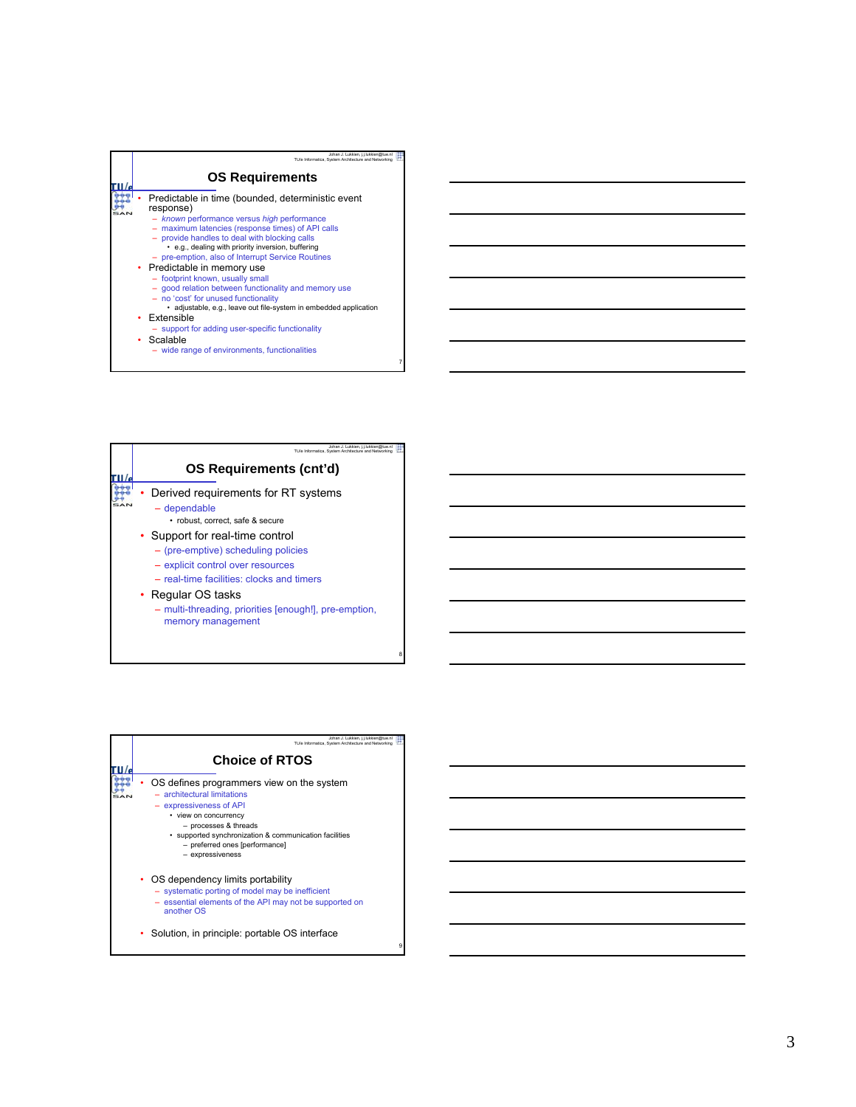| Johan J. Lukkien, i.i.lukkien@tue.nl<br>TU/e Informatica. System Architecture and Networking                                                                                                                                                                                                                                 |
|------------------------------------------------------------------------------------------------------------------------------------------------------------------------------------------------------------------------------------------------------------------------------------------------------------------------------|
| <b>OS Requirements</b>                                                                                                                                                                                                                                                                                                       |
| Predictable in time (bounded, deterministic event<br>response)<br>- known performance versus high performance<br>maximum latencies (response times) of API calls<br>- provide handles to deal with blocking calls<br>• e.g., dealing with priority inversion, buffering<br>- pre-emption, also of Interrupt Service Routines |
| • Predictable in memory use<br>- footprint known, usually small<br>- good relation between functionality and memory use<br>- no 'cost' for unused functionality<br>· adjustable, e.g., leave out file-system in embedded application                                                                                         |
| • Extensible<br>- support for adding user-specific functionality<br>Scalable                                                                                                                                                                                                                                                 |

8

9

– wide range of environments, functionalities



| Johan J. Lukkien, j.j.lukkien@tue.nl<br>TU/e Informatica. System Architecture and Networking                                                                                                                                                                            |
|-------------------------------------------------------------------------------------------------------------------------------------------------------------------------------------------------------------------------------------------------------------------------|
| <b>Choice of RTOS</b>                                                                                                                                                                                                                                                   |
| OS defines programmers view on the system<br>$-$ architectural limitations<br>- expressiveness of API<br>• view on concurrency<br>- processes & threads<br>· supported synchronization & communication facilities<br>- preferred ones [performance]<br>- expressiveness |
| OS dependency limits portability<br>۰.<br>- systematic porting of model may be inefficient<br>- essential elements of the API may not be supported on<br>another OS                                                                                                     |
| Solution, in principle: portable OS interface                                                                                                                                                                                                                           |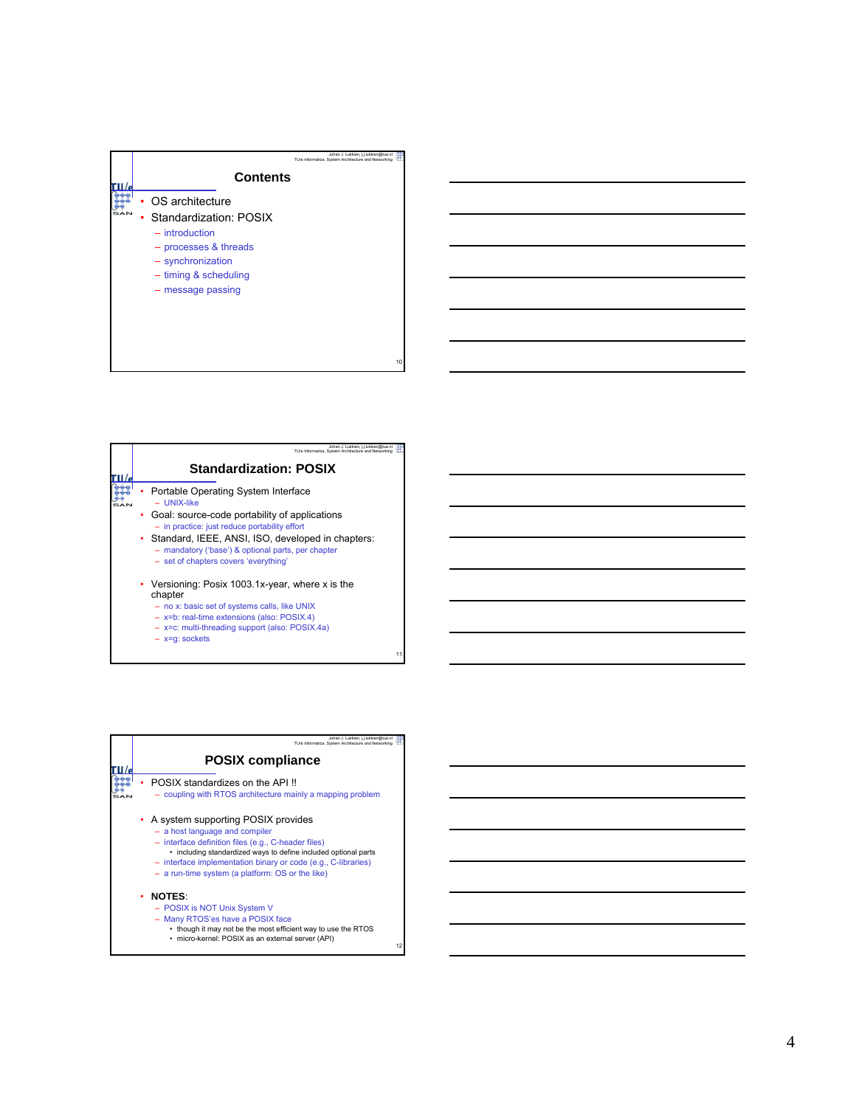

| Johan J. Lukkien, j.j.lukkien@tue.n<br>TU/e Informatica. System Architecture and Networking                                                        |
|----------------------------------------------------------------------------------------------------------------------------------------------------|
| <b>Standardization: POSIX</b>                                                                                                                      |
| Portable Operating System Interface<br>- UNIX-like                                                                                                 |
| • Goal: source-code portability of applications<br>- in practice: just reduce portability effort                                                   |
| • Standard, IEEE, ANSI, ISO, developed in chapters:<br>- mandatory ('base') & optional parts, per chapter<br>- set of chapters covers 'everything' |
| • Versioning: Posix 1003.1x-year, where x is the<br>chapter                                                                                        |
| - no x: basic set of systems calls, like UNIX<br>- x=b: real-time extensions (also: POSIX.4)                                                       |
| - x=c: multi-threading support (also: POSIX.4a)<br>$- x=q$ : sockets                                                                               |

œ

| Johan J. Lukkien, j.j.lukkien@tue.nl<br>TU/e Informatica. System Architecture and Networking                                                                                                                                                                                                                        |    |
|---------------------------------------------------------------------------------------------------------------------------------------------------------------------------------------------------------------------------------------------------------------------------------------------------------------------|----|
| <b>POSIX compliance</b>                                                                                                                                                                                                                                                                                             |    |
| POSIX standardizes on the API!<br>- coupling with RTOS architecture mainly a mapping problem                                                                                                                                                                                                                        |    |
| A system supporting POSIX provides<br>- a host language and compiler<br>- interface definition files (e.g., C-header files)<br>• including standardized ways to define included optional parts<br>- interface implementation binary or code (e.g., C-libraries)<br>- a run-time system (a platform: OS or the like) |    |
| <b>NOTES:</b><br>- POSIX is NOT Unix System V<br>- Many RTOS'es have a POSIX face<br>• though it may not be the most efficient way to use the RTOS<br>· micro-kernel: POSIX as an external server (API)                                                                                                             | 12 |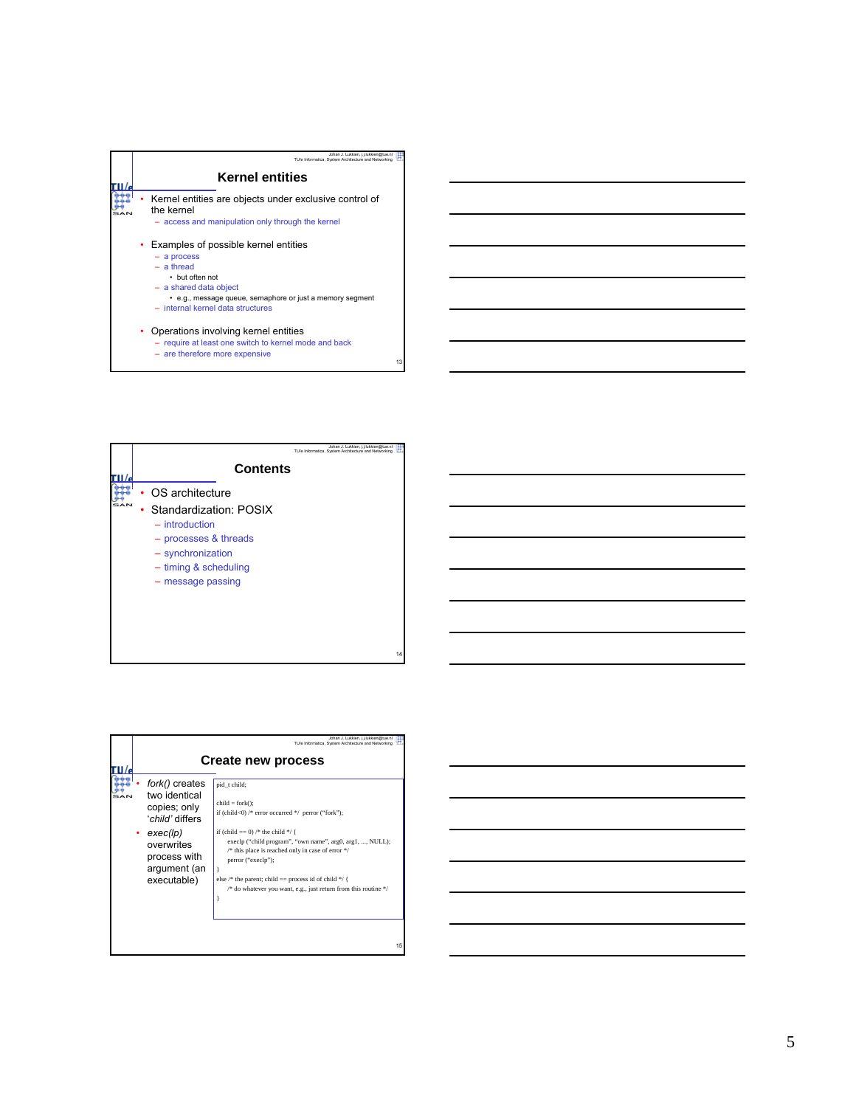

– are therefore more expensive



| fork() creates<br>pid t child;<br>two identical<br>$child = fork()$ :<br>copies; only<br>if (child<0) /* error occurred */ perror ("fork");<br>'child' differs<br>if (child $== 0$ ) /* the child */ {<br>exec(lp)<br>overwrites<br>$/*$ this place is reached only in case of error $*/$<br>process with<br>perror ("execlp");<br>argument (an<br>else /* the parent; child == process id of child */ {<br>executable) |  | Johan J. Lukkien, j.j.lukkien@tue.n<br>TU/e Informatica. System Architecture and Networking<br><b>Create new process</b>     |
|-------------------------------------------------------------------------------------------------------------------------------------------------------------------------------------------------------------------------------------------------------------------------------------------------------------------------------------------------------------------------------------------------------------------------|--|------------------------------------------------------------------------------------------------------------------------------|
|                                                                                                                                                                                                                                                                                                                                                                                                                         |  | execlp ("child program", "own name", arg0, arg1, , NULL);<br>/* do whatever you want, e.g., just return from this routine */ |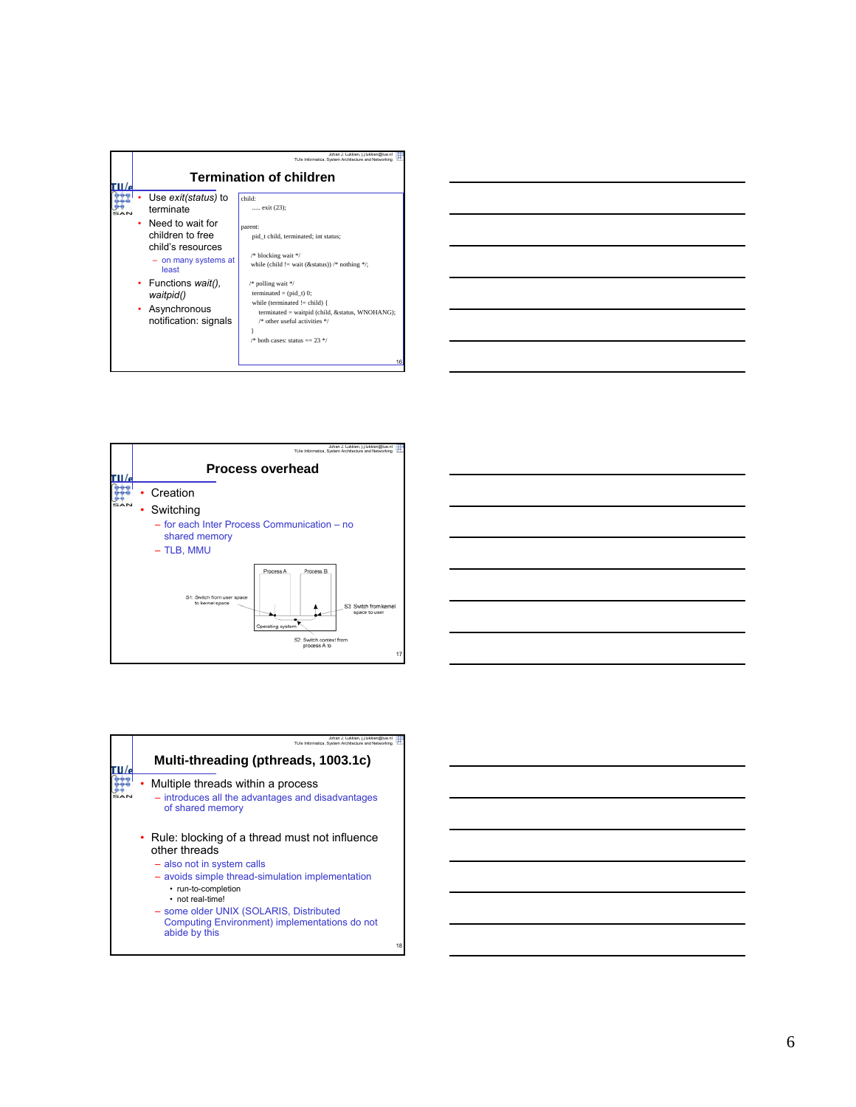







| Johan J. Lukkien, i.i.lukkien@tue.nl<br>TU/e Informatica. System Architecture and Networking                                                                                                                                                                                                               |    |
|------------------------------------------------------------------------------------------------------------------------------------------------------------------------------------------------------------------------------------------------------------------------------------------------------------|----|
| Multi-threading (pthreads, 1003.1c)                                                                                                                                                                                                                                                                        |    |
| Multiple threads within a process<br>- introduces all the advantages and disadvantages<br>of shared memory                                                                                                                                                                                                 |    |
| • Rule: blocking of a thread must not influence<br>other threads<br>- also not in system calls<br>- avoids simple thread-simulation implementation<br>• run-to-completion<br>• not real-time!<br>- some older UNIX (SOLARIS, Distributed<br>Computing Environment) implementations do not<br>abide by this |    |
|                                                                                                                                                                                                                                                                                                            | 18 |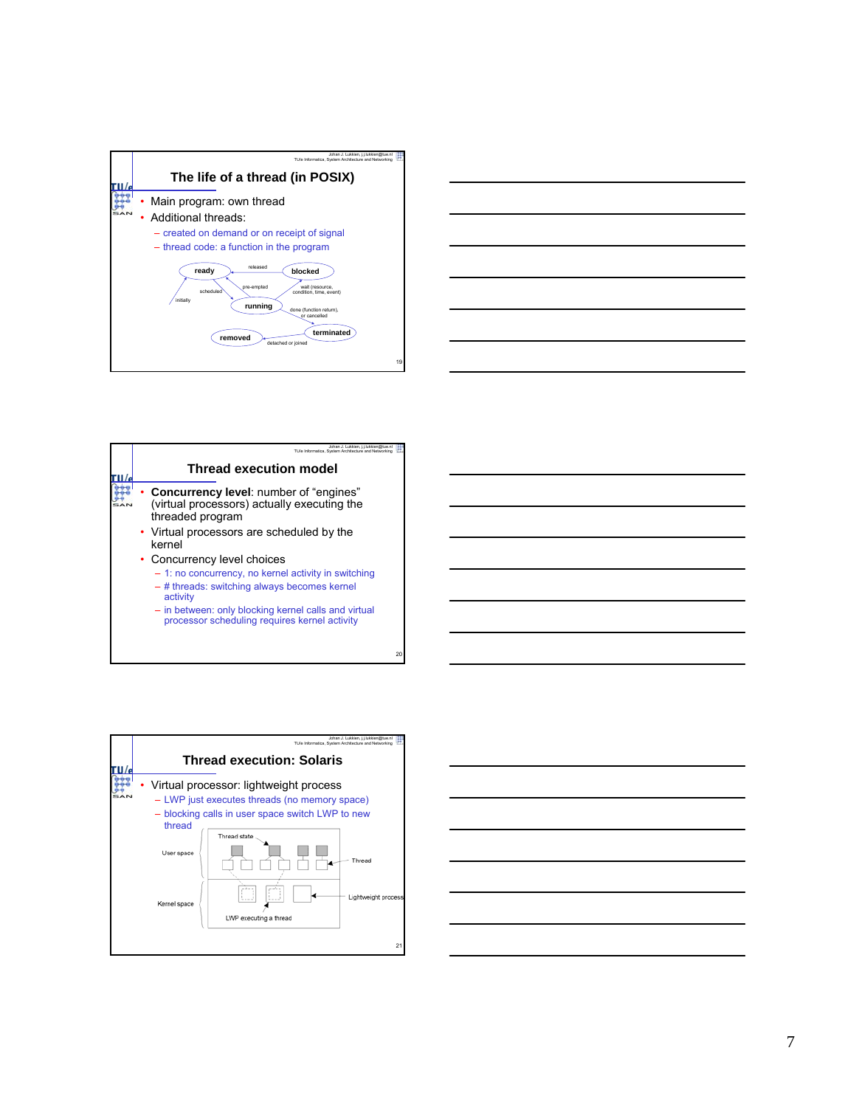



|  | Johan J. Lukkien, i.i.lukkien@tue.nl<br>TU/e Informatica. System Architecture and Networking                                                                                                                                                             |
|--|----------------------------------------------------------------------------------------------------------------------------------------------------------------------------------------------------------------------------------------------------------|
|  | <b>Thread execution model</b>                                                                                                                                                                                                                            |
|  | <b>Concurrency level:</b> number of "engines"<br>(virtual processors) actually executing the<br>threaded program                                                                                                                                         |
|  | • Virtual processors are scheduled by the<br>kernel                                                                                                                                                                                                      |
|  | • Concurrency level choices<br>- 1: no concurrency, no kernel activity in switching<br>- # threads: switching always becomes kernel<br>activity<br>- in between: only blocking kernel calls and virtual<br>processor scheduling requires kernel activity |



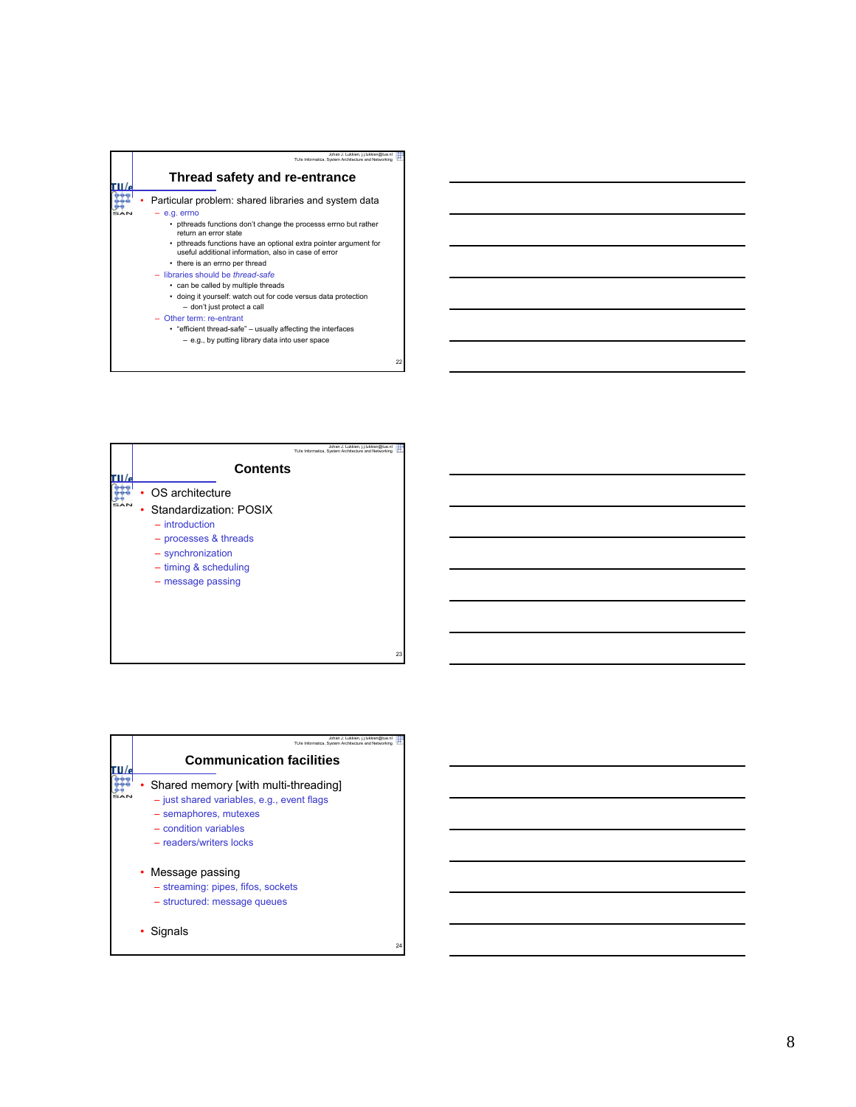



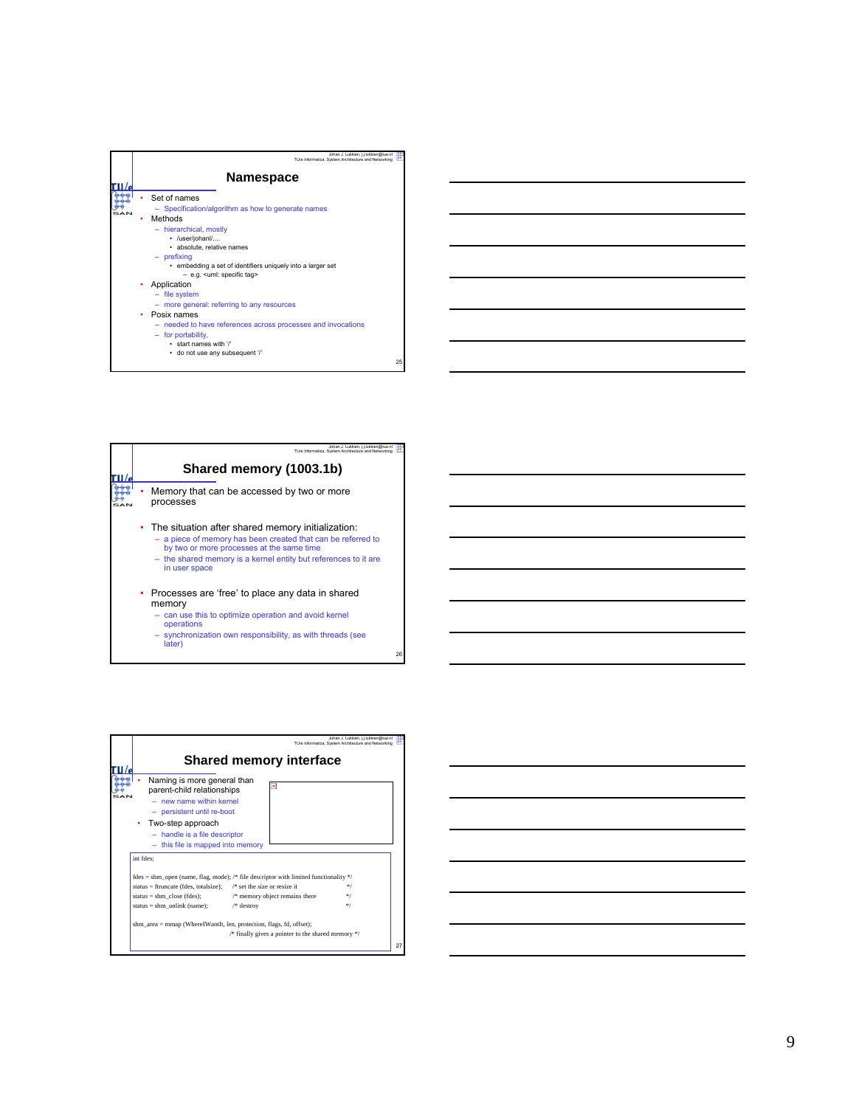| Johan J. Lukkien, i.i.lukkien@tue.nl<br>TU/e Informatica. System Architecture and Networking                                                                                                                                                                                                                                                                                                                                                                                                                                                    |    |
|-------------------------------------------------------------------------------------------------------------------------------------------------------------------------------------------------------------------------------------------------------------------------------------------------------------------------------------------------------------------------------------------------------------------------------------------------------------------------------------------------------------------------------------------------|----|
| Namespace                                                                                                                                                                                                                                                                                                                                                                                                                                                                                                                                       |    |
| Set of names<br>- Specification/algorithm as how to generate names<br>Methods<br>- hierarchical, mostly<br>· /user/johanl/<br>· absolute, relative names<br>- prefixing<br>• embedding a set of identifiers uniquely into a larger set<br>- e.g. <uml: specific="" tag=""><br/>Application<br/>- file system<br/>- more general: referring to any resources<br/>Posix names<br/>٠<br/>- needed to have references across processes and invocations<br/>- for portability,<br/>· start names with '/'<br/>· do not use any subsequent '/'</uml:> |    |
|                                                                                                                                                                                                                                                                                                                                                                                                                                                                                                                                                 | 25 |

| Johan J. Lukkien, j.j.lukkien@tue.nl<br>TU/e Informatica. System Architecture and Networking                                                                                                                                                         |
|------------------------------------------------------------------------------------------------------------------------------------------------------------------------------------------------------------------------------------------------------|
| Shared memory (1003.1b)                                                                                                                                                                                                                              |
| Memory that can be accessed by two or more<br>processes                                                                                                                                                                                              |
| • The situation after shared memory initialization:<br>- a piece of memory has been created that can be referred to<br>by two or more processes at the same time<br>- the shared memory is a kernel entity but references to it are<br>in user space |
| Processes are 'free' to place any data in shared<br>٠<br>memory<br>- can use this to optimize operation and avoid kernel<br>operations<br>- synchronization own responsibility, as with threads (see                                                 |
|                                                                                                                                                                                                                                                      |

– synchronization own responsibility, as with threads (see later)



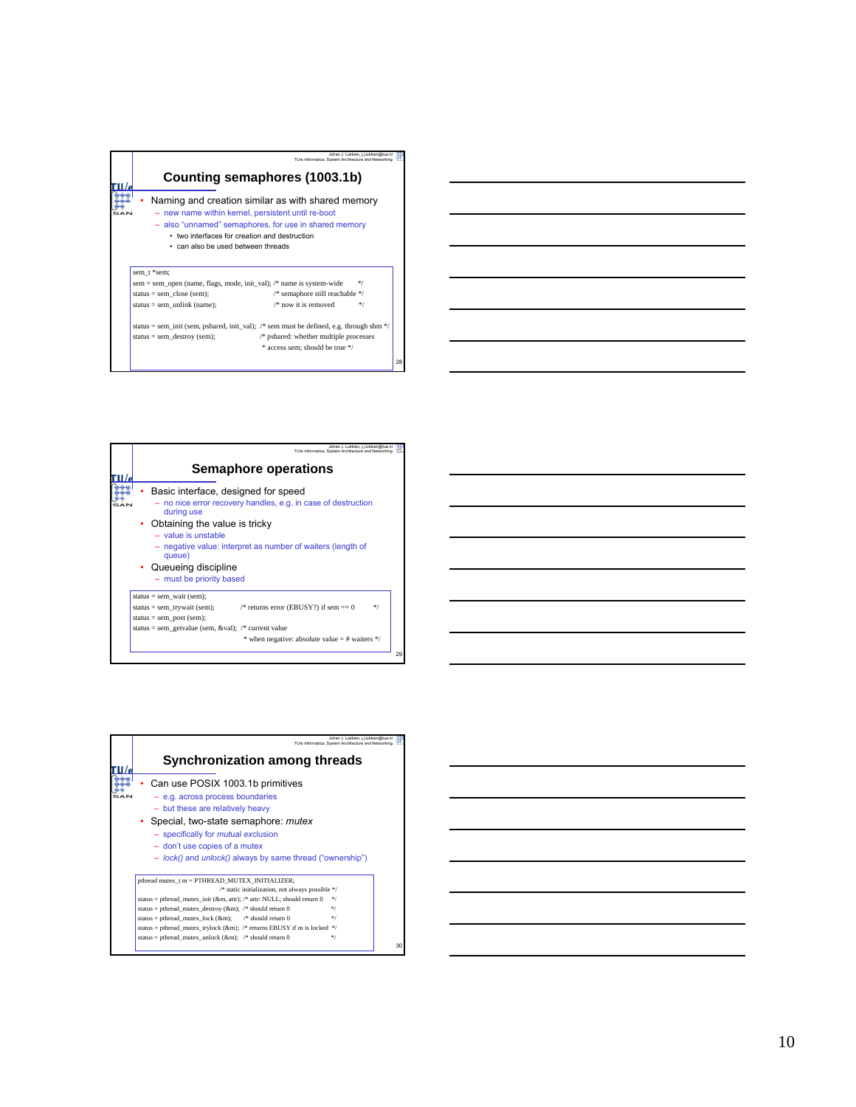

status = sem\_init (sem, pshared, init\_val); /\* sem must be defined, e.g. through shm \*/<br>status = sem\_destroy (sem); /\* pshared: whether multiple processes  $*$  pshared: whether multiple processes \* access sem; should be true \*/

28

29

Ë

| Johan J. Lukkien, j.j.lukkien@tue.nl<br>TU/e Informatica. System Architecture and Networking<br><b>Semaphore operations</b><br>Basic interface, designed for speed<br>- no nice error recovery handles, e.g. in case of destruction<br>during use<br>Obtaining the value is tricky<br>$-$ value is unstable<br>- negative value: interpret as number of waiters (length of<br>queue)<br>• Queueing discipline<br>- must be priority based<br>status = sem wait (sem);<br>/* returns error (EBUSY?) if sem $== 0$<br>$*$<br>status = sem_trywait (sem);<br>status = sem post (sem);<br>status = sem getvalue (sem, &val); /* current value<br>* when negative: absolute value $=$ # waiters */ |  |
|-----------------------------------------------------------------------------------------------------------------------------------------------------------------------------------------------------------------------------------------------------------------------------------------------------------------------------------------------------------------------------------------------------------------------------------------------------------------------------------------------------------------------------------------------------------------------------------------------------------------------------------------------------------------------------------------------|--|
|                                                                                                                                                                                                                                                                                                                                                                                                                                                                                                                                                                                                                                                                                               |  |
|                                                                                                                                                                                                                                                                                                                                                                                                                                                                                                                                                                                                                                                                                               |  |
|                                                                                                                                                                                                                                                                                                                                                                                                                                                                                                                                                                                                                                                                                               |  |
|                                                                                                                                                                                                                                                                                                                                                                                                                                                                                                                                                                                                                                                                                               |  |
|                                                                                                                                                                                                                                                                                                                                                                                                                                                                                                                                                                                                                                                                                               |  |
|                                                                                                                                                                                                                                                                                                                                                                                                                                                                                                                                                                                                                                                                                               |  |
|                                                                                                                                                                                                                                                                                                                                                                                                                                                                                                                                                                                                                                                                                               |  |
|                                                                                                                                                                                                                                                                                                                                                                                                                                                                                                                                                                                                                                                                                               |  |
|                                                                                                                                                                                                                                                                                                                                                                                                                                                                                                                                                                                                                                                                                               |  |
|                                                                                                                                                                                                                                                                                                                                                                                                                                                                                                                                                                                                                                                                                               |  |
|                                                                                                                                                                                                                                                                                                                                                                                                                                                                                                                                                                                                                                                                                               |  |

| Johan J. Lukkien, i.i.lukkien@tue.nl<br>TU/e Informatica. System Architecture and Networking                                                                                                                                                                                                                                                                                                                                                                                             |
|------------------------------------------------------------------------------------------------------------------------------------------------------------------------------------------------------------------------------------------------------------------------------------------------------------------------------------------------------------------------------------------------------------------------------------------------------------------------------------------|
| Synchronization among threads                                                                                                                                                                                                                                                                                                                                                                                                                                                            |
| Can use POSIX 1003.1b primitives<br>$-$ e.g. across process boundaries<br>- but these are relatively heavy<br>• Special, two-state semaphore: mutex<br>- specifically for <i>mutual</i> exclusion<br>- don't use copies of a mutex<br>- lock() and <i>unlock()</i> always by same thread ("ownership")                                                                                                                                                                                   |
| pthread mutex t m = PTHREAD MUTEX INITIALIZER;<br>/* static initialization, not always possible */<br>status = pthread mutex init (&m, attr); /* attr: NULL; should return 0<br>$*$<br>status = pthread mutex destroy ( $\&$ m); /* should return 0<br>$*$ /<br>status = pthread mutex lock (&m); $\frac{1}{2}$ should return 0<br>$*1$<br>status = pthread_mutex_trylock (&m); /* returns EBUSY if m is locked */<br>status = pthread mutex unlock ( $\&$ m); /* should return 0<br>$*$ |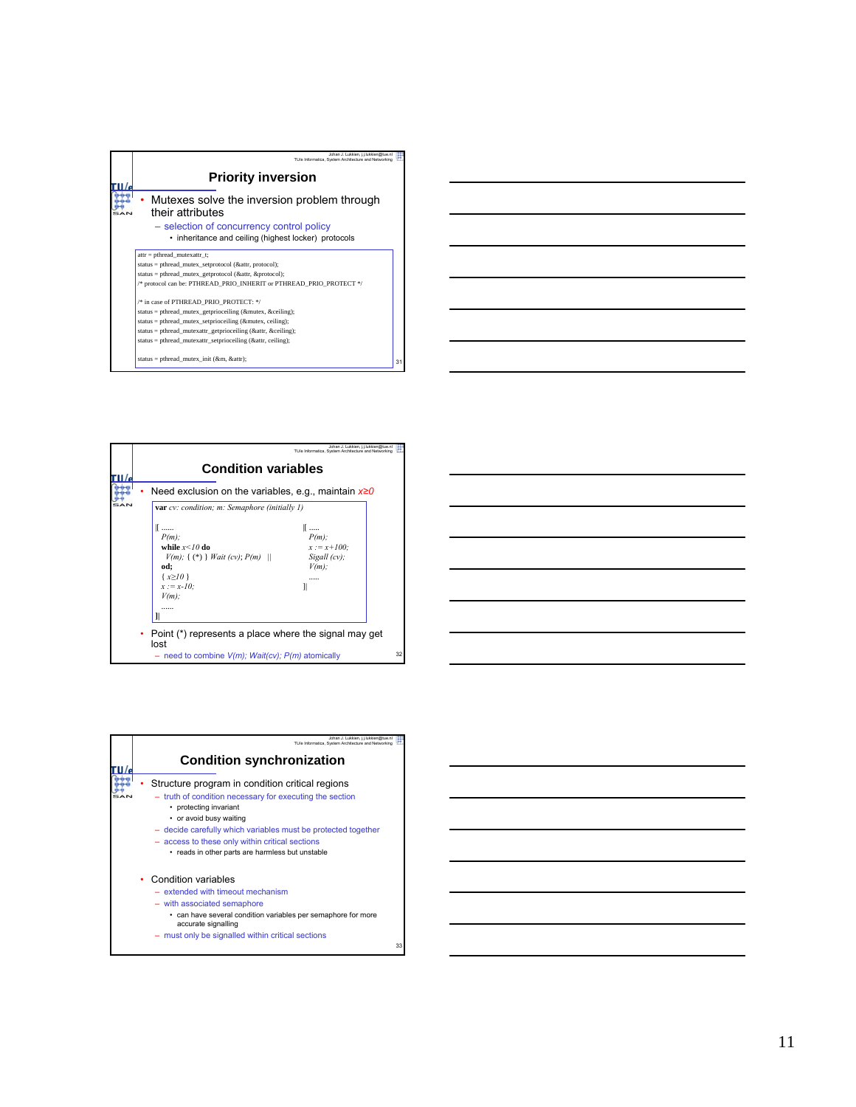| Johan J. Lukkien, i.i.lukkien@tue.n<br>TU/e Informatica, System Architecture and Networking                     |    |
|-----------------------------------------------------------------------------------------------------------------|----|
| <b>Priority inversion</b>                                                                                       |    |
| Mutexes solve the inversion problem through<br>their attributes                                                 |    |
| - selection of concurrency control policy<br>• inheritance and ceiling (highest locker) protocols               |    |
| $attr = phread$ mutexattr t;                                                                                    |    |
| status = pthread_mutex_setprotocol (&attr, protocol);<br>status = pthread mutex getprotocol (&attr, &protocol); |    |
| /* protocol can be: PTHREAD PRIO INHERIT or PTHREAD PRIO PROTECT */                                             |    |
| /* in case of PTHREAD PRIO PROTECT: */                                                                          |    |
| status = pthread mutex getprioceiling (&mutex, &ceiling);                                                       |    |
| status = pthread mutex setprioceiling (&mutex, ceiling);                                                        |    |
| status = pthread mutexattr getprioceiling (&attr, &ceiling);                                                    |    |
| status = pthread mutexattr setprioceiling (&attr, ceiling);                                                     |    |
| status = pthread mutex init ( $\&$ m, $\&$ attr);                                                               | 31 |



| Johan J. Lukkien, i.i.lukkien@tue.nl<br>TU/e Informatica, System Architecture and Networking<br><b>Condition synchronization</b>                                                                                                                                                                                                         |    |
|------------------------------------------------------------------------------------------------------------------------------------------------------------------------------------------------------------------------------------------------------------------------------------------------------------------------------------------|----|
| Structure program in condition critical regions<br>- truth of condition necessary for executing the section<br>• protecting invariant<br>• or avoid busy waiting<br>- decide carefully which variables must be protected together<br>- access to these only within critical sections<br>• reads in other parts are harmless but unstable |    |
| Condition variables<br>$-$ extended with timeout mechanism<br>- with associated semaphore<br>. can have several condition variables per semaphore for more<br>accurate signalling<br>- must only be signalled within critical sections                                                                                                   | 33 |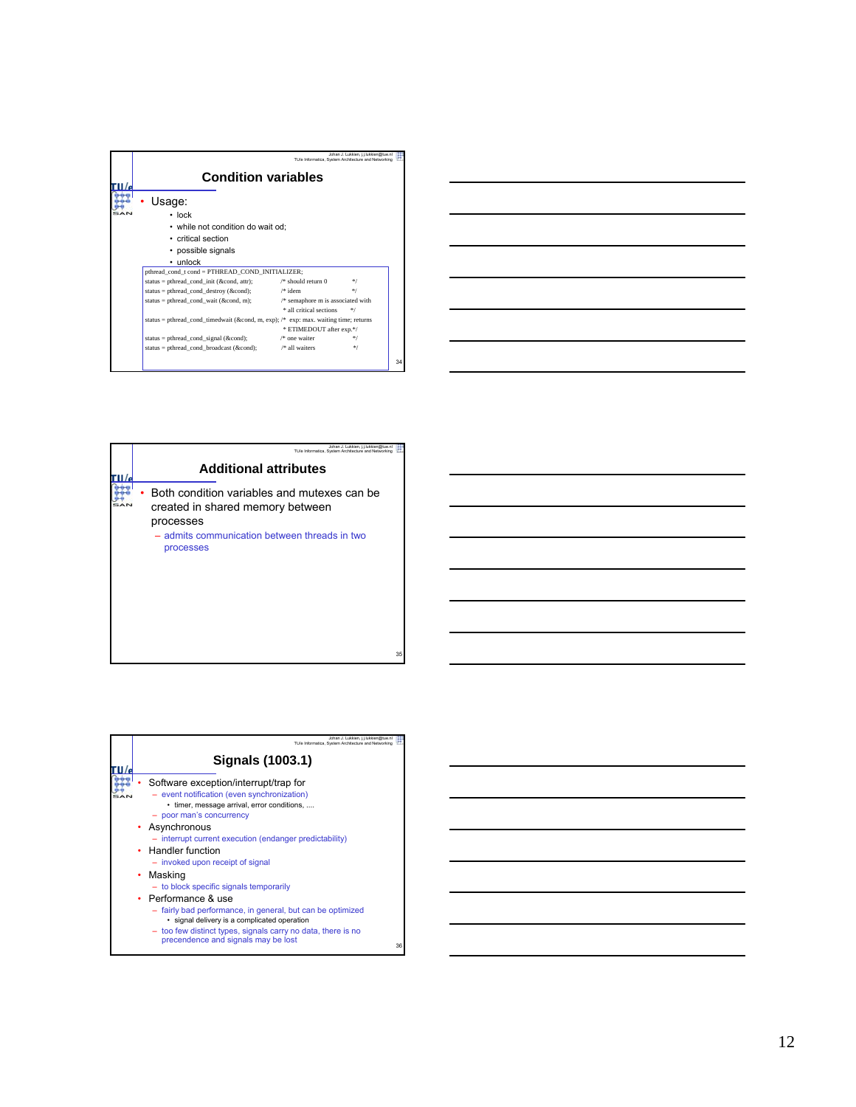|                                                                                                                           |                                     | Johan J. Lukkien, i.i.lukkien@tue.nl<br>TU/e Informatica. System Architecture and Networking |    |  |
|---------------------------------------------------------------------------------------------------------------------------|-------------------------------------|----------------------------------------------------------------------------------------------|----|--|
| <b>Condition variables</b>                                                                                                |                                     |                                                                                              |    |  |
| Usage:<br>$\cdot$ lock<br>• while not condition do wait od;<br>• critical section<br>• possible signals<br>$\cdot$ unlock |                                     |                                                                                              |    |  |
| pthread cond t cond = PTHREAD COND INITIALIZER;                                                                           |                                     |                                                                                              |    |  |
| status = pthread cond init ( $\&$ cond, attr);                                                                            | $\frac{1}{2}$ should return 0       | $*$                                                                                          |    |  |
| status = pthread cond destroy ( $\&$ cond);                                                                               | $/*$ idem                           | *1                                                                                           |    |  |
| status = pthread cond wait ( $\&$ cond, m);                                                                               | $/*$ semaphore m is associated with |                                                                                              |    |  |
|                                                                                                                           | * all critical sections             | */                                                                                           |    |  |
| status = pthread_cond_timedwait (&cond, m, exp); /* exp: max. waiting time; returns                                       | * ETIMEDOUT after exp.*/            |                                                                                              |    |  |
| $status = phread\_cond\_signal (&cond);$                                                                                  | /* one waiter                       | */                                                                                           |    |  |
| status = pthread cond broadcast ( $\&$ cond);                                                                             | /* all waiters                      | $*$                                                                                          |    |  |
|                                                                                                                           |                                     |                                                                                              | 34 |  |

| <u> 1989 - Johann Barn, mars ann an t-Amhain ann an t-Amhain ann an t-Amhain ann an t-Amhain an t-Amhain ann an t-</u> |  |  |
|------------------------------------------------------------------------------------------------------------------------|--|--|
| <u> 1989 - Johann Barn, amerikan bernama di sebagai bernama dan bernama di sebagai bernama dalam bernama dalam b</u>   |  |  |
| <u> 1989 - Johann Stoff, deutscher Stoff, der Stoff, der Stoff, der Stoff, der Stoff, der Stoff, der Stoff, der S</u>  |  |  |
| <u> 1989 - Johann Stein, mars an de Brasilia (b. 1989)</u>                                                             |  |  |
| <u> 1989 - Johann Barn, amerikansk politiker (d. 1989)</u>                                                             |  |  |
|                                                                                                                        |  |  |

| Johan J. Lukkien, i.i.lukkien@tue.nl<br>TU/e Informatica. System Architecture and Networking                                                               |
|------------------------------------------------------------------------------------------------------------------------------------------------------------|
| <b>Additional attributes</b>                                                                                                                               |
| Both condition variables and mutexes can be<br>created in shared memory between<br>processes<br>- admits communication between threads in two<br>processes |

| Johan J. Lukkien, j.j.lukkien@tue.nl<br>TU/e Informatica. System Architecture and Networking                                                                                                                                                                                                                                                                                                                                                                                                                                                                                                                  |    |
|---------------------------------------------------------------------------------------------------------------------------------------------------------------------------------------------------------------------------------------------------------------------------------------------------------------------------------------------------------------------------------------------------------------------------------------------------------------------------------------------------------------------------------------------------------------------------------------------------------------|----|
| Signals (1003.1)                                                                                                                                                                                                                                                                                                                                                                                                                                                                                                                                                                                              |    |
| Software exception/interrupt/trap for<br>- event notification (even synchronization)<br>• timer, message arrival, error conditions,<br>- poor man's concurrency<br>• Asynchronous<br>- interrupt current execution (endanger predictability)<br>• Handler function<br>- invoked upon receipt of signal<br>Masking<br>٠<br>- to block specific signals temporarily<br>• Performance & use<br>- fairly bad performance, in general, but can be optimized<br>· signal delivery is a complicated operation<br>- too few distinct types, signals carry no data, there is no<br>precendence and signals may be lost | 36 |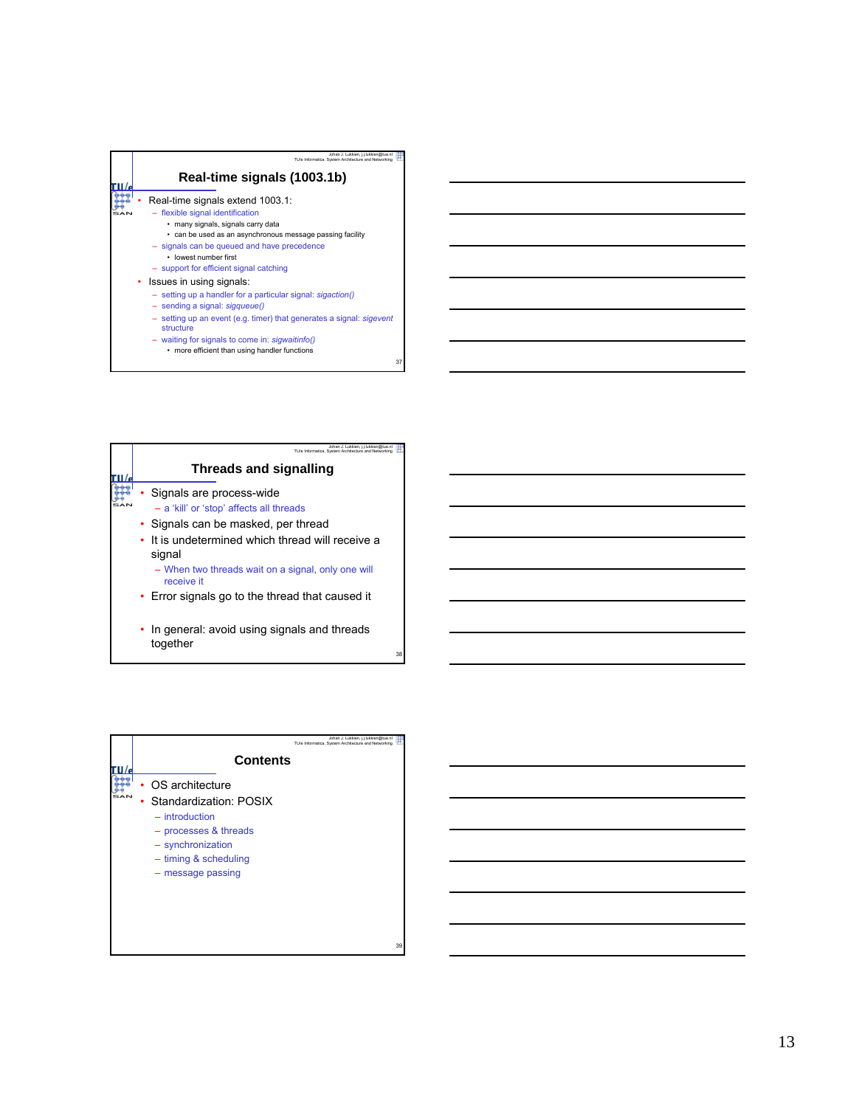

| Johan J. Lukkien, i.i.lukkien@tue<br>TU/e Informatica. System Architecture and Netv |
|-------------------------------------------------------------------------------------|
| Threads and signalling                                                              |
| • Signals are process-wide<br>- a 'kill' or 'stop' affects all threads              |
| • Signals can be masked, per thread                                                 |
| • It is undetermined which thread will receive a<br>signal                          |
| - When two threads wait on a signal, only one will<br>receive it                    |
| • Error signals go to the thread that caused it                                     |
| In general: avoid using signals and threads<br>together                             |

| Johan J. Lukkien, i.i.lukkien@tue.nl<br>TU/e Informatica, System Architecture and Networking                                                                     |
|------------------------------------------------------------------------------------------------------------------------------------------------------------------|
| <b>Contents</b>                                                                                                                                                  |
| OS architecture<br>Standardization: POSIX<br>٠<br>$-$ introduction<br>- processes & threads<br>- synchronization<br>$-$ timing & scheduling<br>- message passing |
| 39                                                                                                                                                               |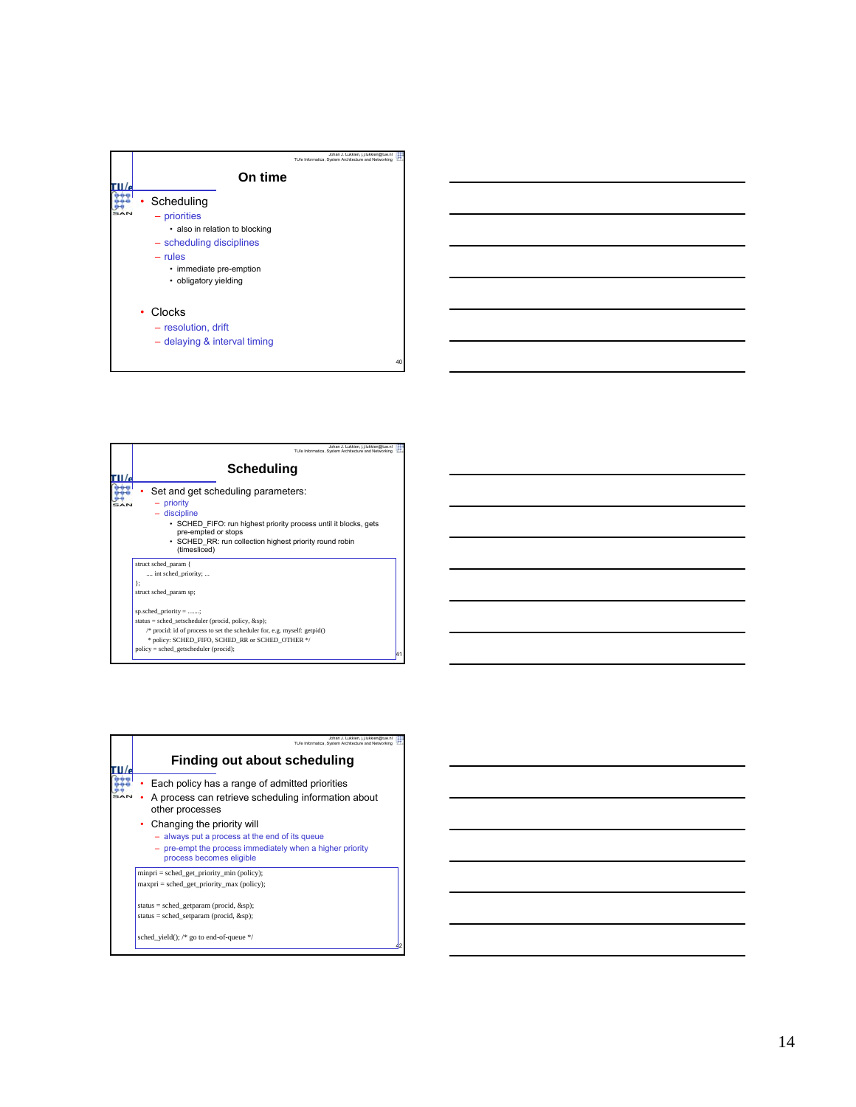

| Johan J. Lukkien, i.i.lukkien@tue.nl<br>TU/e Informatica. System Architecture and Networking                                                                                                                                                     |  |
|--------------------------------------------------------------------------------------------------------------------------------------------------------------------------------------------------------------------------------------------------|--|
| Scheduling                                                                                                                                                                                                                                       |  |
| Set and get scheduling parameters:<br>- priority<br>- discipline<br>• SCHED FIFO: run highest priority process until it blocks, gets<br>pre-empted or stops<br>• SCHED RR: run collection highest priority round robin<br>(timesliced)           |  |
| struct sched param {<br>int sched priority;<br>1:<br>struct sched_param sp;                                                                                                                                                                      |  |
| sp.sched priority = ;<br>status = sched setscheduler (procid, policy, $\&$ sp);<br>/* procid: id of process to set the scheduler for, e.g. myself: getpid()<br>* policy: SCHED FIFO, SCHED RR or SCHED OTHER */<br>$policy = schedule (procid);$ |  |

| Johan J. Lukkien, i.i.lukkien@tue.nl<br>TU/e Informatica. System Architecture and Networking                                                                                                                                                                                                                   |  |
|----------------------------------------------------------------------------------------------------------------------------------------------------------------------------------------------------------------------------------------------------------------------------------------------------------------|--|
| Finding out about scheduling                                                                                                                                                                                                                                                                                   |  |
| Each policy has a range of admitted priorities<br>A process can retrieve scheduling information about<br>other processes<br>Changing the priority will<br>$\bullet$<br>- always put a process at the end of its queue<br>- pre-empt the process immediately when a higher priority<br>process becomes eligible |  |
| $minpri = sched get priority min (policy);$<br>$maxpri = sched get priority max (policy);$                                                                                                                                                                                                                     |  |
| status = sched_getparam (procid, $&$ sp);<br>status = sched setparam (procid, $&$ sp);                                                                                                                                                                                                                         |  |
| sched yield(); $/*$ go to end-of-queue $*/$                                                                                                                                                                                                                                                                    |  |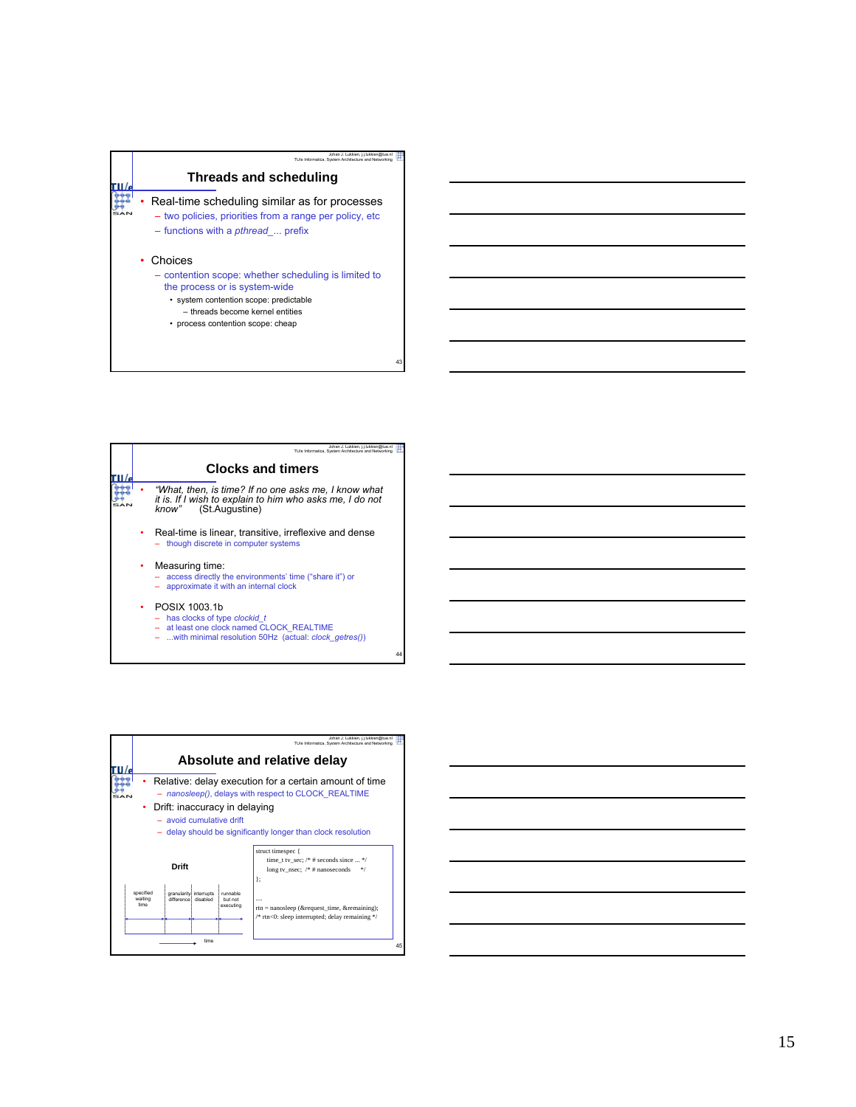

|  | Johan J. Lukkien, i.i.lukkien@tue.nl<br>TU/e Informatica. System Architecture and Networking                                                        |
|--|-----------------------------------------------------------------------------------------------------------------------------------------------------|
|  | <b>Clocks and timers</b>                                                                                                                            |
|  | "What, then, is time? If no one asks me, I know what<br>it is. If I wish to explain to him who asks me, I do not<br>know" (St.Augustine)            |
|  | Real-time is linear, transitive, irreflexive and dense<br>though discrete in computer systems                                                       |
|  | Measuring time:<br>- access directly the environments' time ("share it") or<br>approximate it with an internal clock                                |
|  | POSIX 1003.1b<br>- has clocks of type clockid t<br>at least one clock named CLOCK REALTIME<br>with minimal resolution 50Hz (actual: clock getres()) |



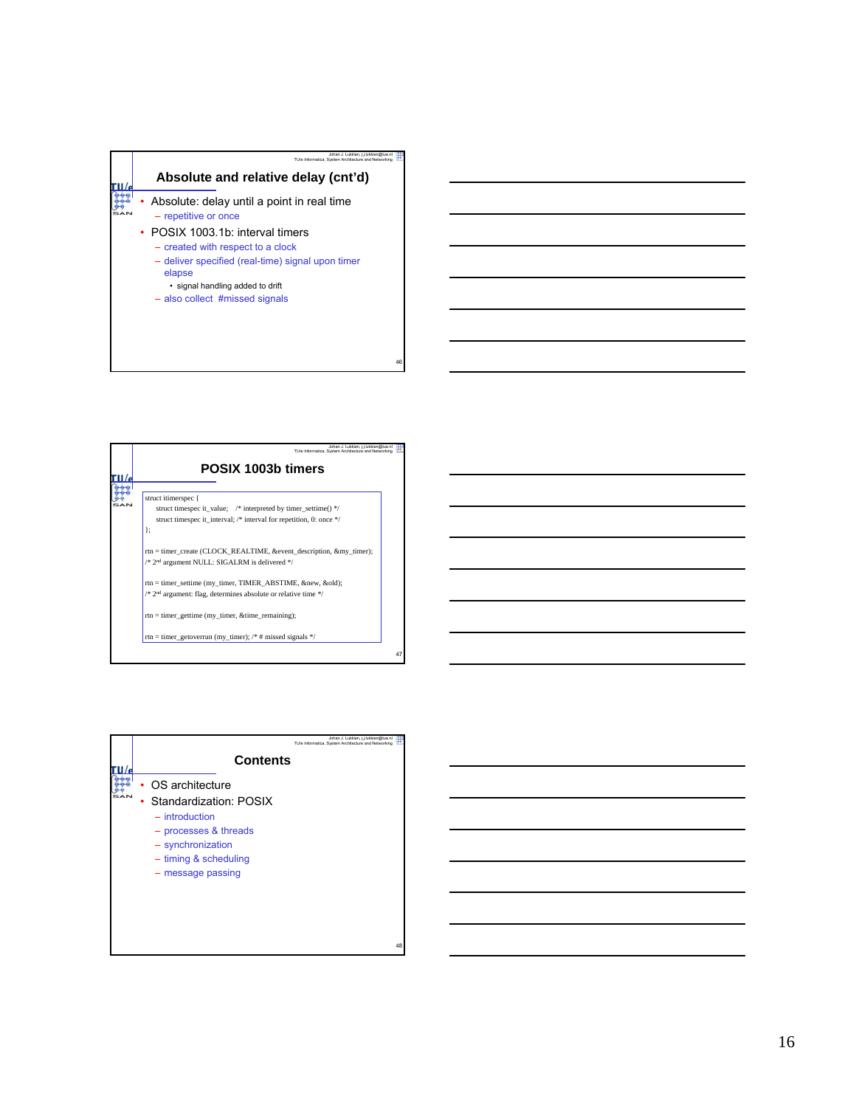

| POSIX 1003b timers                                                         |
|----------------------------------------------------------------------------|
| struct itimerspec {                                                        |
| struct timespec it value; $/*$ interpreted by timer settime() $*/$         |
| struct timespec it interval; /* interval for repetition, 0: once */        |
| 1:                                                                         |
| rtn = timer create (CLOCK REALTIME, & event description, & my timer);      |
| /* 2 <sup>nd</sup> argument NULL: SIGALRM is delivered */                  |
| rtn = timer settime (my timer, TIMER ABSTIME, &new, &old);                 |
| /* 2 <sup>nd</sup> argument: flag, determines absolute or relative time */ |
| $rtn = timer\_gettime$ (my_timer, &time_remaining);                        |
| rtn = timer getoverrun (my timer); $/*$ # missed signals */                |

|  | Johan J. Lukkien, j.j.lukkien@tue.nl<br>TU/e Informatica. System Architecture and Networking                                                                  |    |
|--|---------------------------------------------------------------------------------------------------------------------------------------------------------------|----|
|  | <b>Contents</b>                                                                                                                                               |    |
|  | OS architecture<br>• Standardization: POSIX<br>$-$ introduction<br>- processes & threads<br>- synchronization<br>$-$ timing & scheduling<br>- message passing |    |
|  |                                                                                                                                                               | 48 |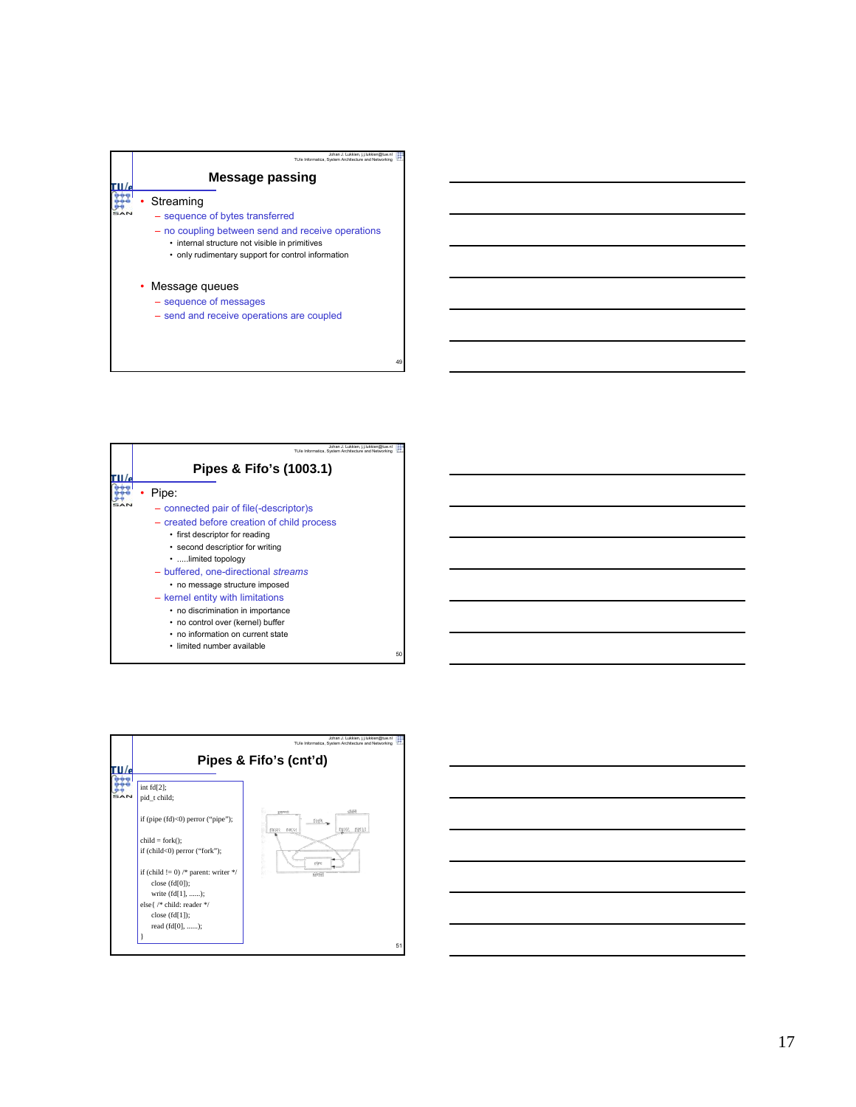

50

– send and receive operations are coupled

| Johan J. Lukkien, j.j.lukkien@tue.nl                 |
|------------------------------------------------------|
| TU/e Informatica. System Architecture and Networking |
| Pipes & Fifo's (1003.1)                              |
| Pipe:                                                |
| - connected pair of file(-descriptor)s               |
| - created before creation of child process           |
| • first descriptor for reading                       |
| • second descriptior for writing                     |
| limited topology                                     |
| - buffered, one-directional streams                  |
| • no message structure imposed                       |
| - kernel entity with limitations                     |
| • no discrimination in importance                    |
| • no control over (kernel) buffer                    |
| • no information on current state                    |
| · limited number available                           |

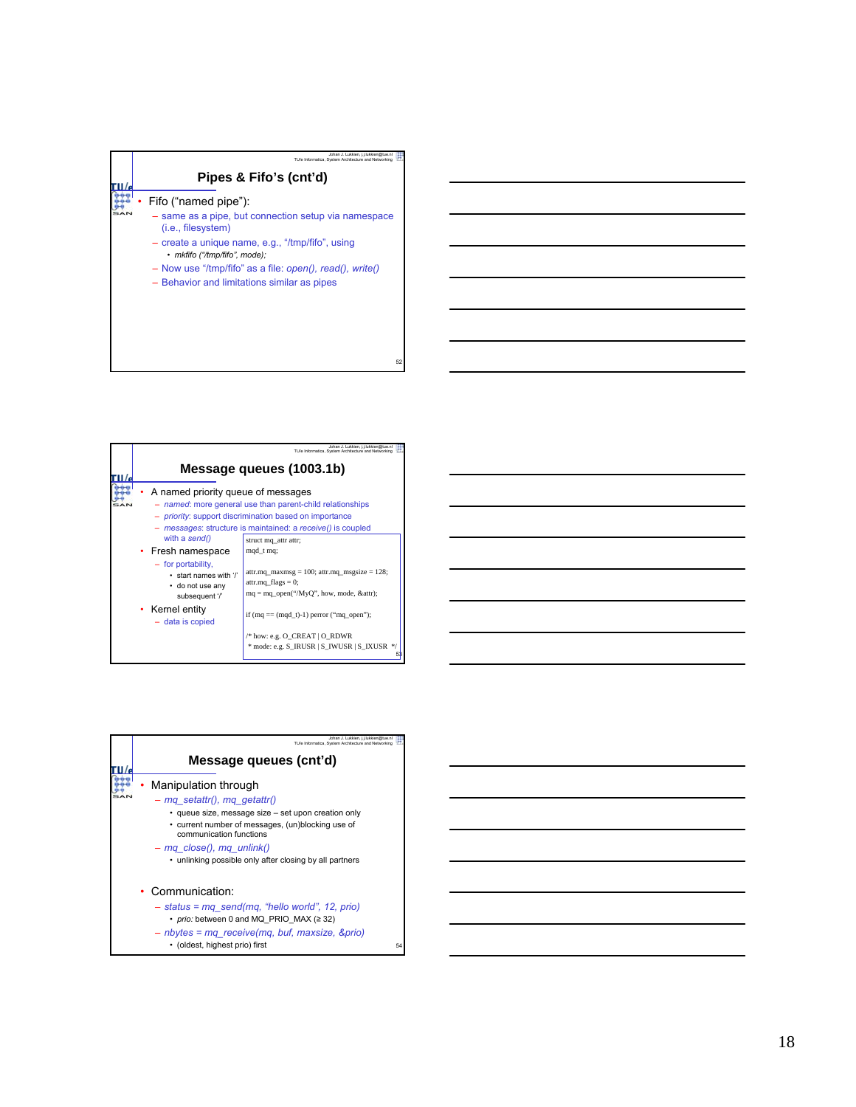| Johan J. Lukkien, j.j.lukkien@tue.nl<br>TU/e Informatica, System Architecture and Networking         |
|------------------------------------------------------------------------------------------------------|
| Pipes & Fifo's (cnt'd)                                                                               |
| Fifo ("named pipe"):                                                                                 |
| - same as a pipe, but connection setup via namespace<br>$(i.e., files \forall is the same function)$ |
| - create a unique name, e.g., "/tmp/fifo", using<br>• mkfifo ("/tmp/fifo", mode);                    |
| $-$ Now use "/tmp/fifo" as a file: <i>open(), read(), write()</i>                                    |
| - Behavior and limitations similar as pipes                                                          |
|                                                                                                      |
|                                                                                                      |
|                                                                                                      |
| 52                                                                                                   |

|                                                                                                                                                                 | Johan J. Lukkien, i.i.lukkien@tue.nl<br>TU/e Informatica. System Architecture and Networking                                                                                                                 |
|-----------------------------------------------------------------------------------------------------------------------------------------------------------------|--------------------------------------------------------------------------------------------------------------------------------------------------------------------------------------------------------------|
|                                                                                                                                                                 | Message queues (1003.1b)                                                                                                                                                                                     |
| A named priority queue of messages                                                                                                                              | - named: more general use than parent-child relationships<br>- <i>priority</i> : support discrimination based on importance<br>- messages: structure is maintained: a receive() is coupled                   |
| with a send()<br>• Fresh namespace<br>- for portability.<br>• start names with '/'<br>• do not use any<br>subsequent '/'<br>• Kernel entity<br>- data is copied | struct mq attr attr;<br>mqd_t mq;<br>attr.mq maxmsg = 100; attr.mq msgsize = $128$ ;<br>attr.mq $flags = 0$ ;<br>$mq = mq\_open("MyQ", how, mode, \&attr);$<br>if $(mq == (mqd t)-1)$ perror $("mq open")$ ; |
|                                                                                                                                                                 | /* how: e.g. O CREAT   O RDWR<br>* mode: e.g. S IRUSR   S IWUSR   S IXUSR<br>$\ast/$                                                                                                                         |

| Johan J. Lukkien, j.j.lukkien@tue.nl<br>TU/e Informatica. System Architecture and Networking                                                                                                                                                                                        |    |
|-------------------------------------------------------------------------------------------------------------------------------------------------------------------------------------------------------------------------------------------------------------------------------------|----|
| Message queues (cnt'd)                                                                                                                                                                                                                                                              |    |
| Manipulation through<br>- mg setattr(), mg getattr()<br>· queue size, message size - set upon creation only<br>• current number of messages, (un)blocking use of<br>communication functions<br>- mg close(), mg unlink()<br>• unlinking possible only after closing by all partners |    |
| Communication:<br>$-$ status = mg send(mg, "hello world", 12, prio)<br>• prio: between 0 and MQ PRIO MAX (≥ 32)<br>- nbytes = mg receive(mg, buf, maxsize, &prio)<br>• (oldest, highest prio) first                                                                                 | 54 |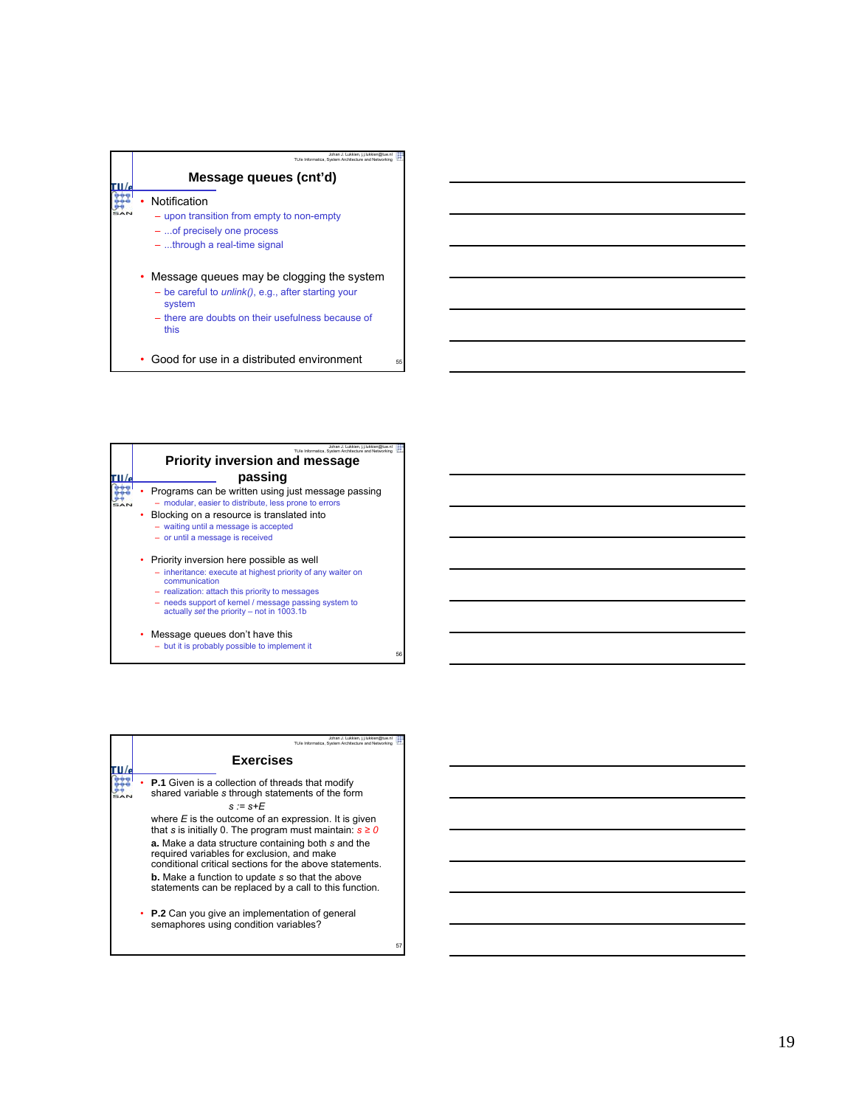| Johan J. Lukkien, i.i.lukkien@tue.nl<br>TU/e Informatica. System Architecture and Networking<br>Message queues (cnt'd)                                                              |    |
|-------------------------------------------------------------------------------------------------------------------------------------------------------------------------------------|----|
| Notification<br>- upon transition from empty to non-empty<br>-  of precisely one process<br>$-$ through a real-time signal                                                          |    |
| • Message queues may be clogging the system<br>$-$ be careful to <i>unlink()</i> , e.g., after starting your<br>system<br>- there are doubts on their usefulness because of<br>this |    |
| Good for use in a distributed environment                                                                                                                                           | 55 |

| Johan J. Lukkien. i.i.lukkien@tue.nl<br>TU/e Informatica. System Architecture and Networking                                                                                                                                                                                         |    |
|--------------------------------------------------------------------------------------------------------------------------------------------------------------------------------------------------------------------------------------------------------------------------------------|----|
| <b>Priority inversion and message</b>                                                                                                                                                                                                                                                |    |
| passing                                                                                                                                                                                                                                                                              |    |
| Programs can be written using just message passing<br>- modular, easier to distribute, less prone to errors                                                                                                                                                                          |    |
| Blocking on a resource is translated into<br>٠<br>- waiting until a message is accepted<br>- or until a message is received                                                                                                                                                          |    |
| • Priority inversion here possible as well<br>- inheritance: execute at highest priority of any waiter on<br>communication<br>- realization: attach this priority to messages<br>- needs support of kernel / message passing system to<br>actually set the priority - not in 1003.1b |    |
| Message queues don't have this<br>- but it is probably possible to implement it                                                                                                                                                                                                      | 56 |

| Johan J. Lukkien, i.i.lukkien@tue.nl<br>TU/e Informatica. System Architecture and Networking                                                                                                                                                                                                                                                    |    |
|-------------------------------------------------------------------------------------------------------------------------------------------------------------------------------------------------------------------------------------------------------------------------------------------------------------------------------------------------|----|
| <b>Exercises</b>                                                                                                                                                                                                                                                                                                                                |    |
| <b>P.1</b> Given is a collection of threads that modify<br>shared variable s through statements of the form<br>$s = s + F$                                                                                                                                                                                                                      |    |
| where $E$ is the outcome of an expression. It is given<br>that s is initially 0. The program must maintain: $s \ge 0$<br>a. Make a data structure containing both s and the<br>required variables for exclusion, and make<br>conditional critical sections for the above statements.<br><b>b.</b> Make a function to update s so that the above |    |
| statements can be replaced by a call to this function.                                                                                                                                                                                                                                                                                          |    |
| • P.2 Can you give an implementation of general<br>semaphores using condition variables?                                                                                                                                                                                                                                                        |    |
|                                                                                                                                                                                                                                                                                                                                                 | 57 |